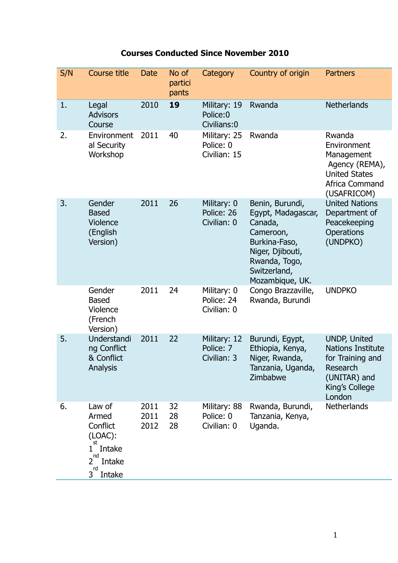| S/N | Course title                                                                                             | <b>Date</b>          | No of<br>partici<br>pants | Category                                  | Country of origin                                                                                                                                      | <b>Partners</b>                                                                                                             |
|-----|----------------------------------------------------------------------------------------------------------|----------------------|---------------------------|-------------------------------------------|--------------------------------------------------------------------------------------------------------------------------------------------------------|-----------------------------------------------------------------------------------------------------------------------------|
| 1.  | Legal<br><b>Advisors</b><br>Course                                                                       | 2010                 | 19                        | Military: 19<br>Police:0<br>Civilians:0   | Rwanda                                                                                                                                                 | <b>Netherlands</b>                                                                                                          |
| 2.  | Environment<br>al Security<br>Workshop                                                                   | 2011                 | 40                        | Military: 25<br>Police: 0<br>Civilian: 15 | Rwanda                                                                                                                                                 | Rwanda<br>Environment<br>Management<br>Agency (REMA),<br><b>United States</b><br>Africa Command<br>(USAFRICOM)              |
| 3.  | Gender<br><b>Based</b><br>Violence<br>(English<br>Version)                                               | 2011                 | 26                        | Military: 0<br>Police: 26<br>Civilian: 0  | Benin, Burundi,<br>Egypt, Madagascar,<br>Canada,<br>Cameroon,<br>Burkina-Faso,<br>Niger, Djibouti,<br>Rwanda, Togo,<br>Switzerland,<br>Mozambique, UK. | <b>United Nations</b><br>Department of<br>Peacekeeping<br>Operations<br>(UNDPKO)                                            |
|     | Gender<br><b>Based</b><br>Violence<br>(French<br>Version)                                                | 2011                 | 24                        | Military: 0<br>Police: 24<br>Civilian: 0  | Congo Brazzaville,<br>Rwanda, Burundi                                                                                                                  | <b>UNDPKO</b>                                                                                                               |
| 5.  | Understandi<br>ng Conflict<br>& Conflict<br>Analysis                                                     | 2011                 | 22                        | Military: 12<br>Police: 7<br>Civilian: 3  | Burundi, Egypt,<br>Ethiopia, Kenya,<br>Niger, Rwanda,<br>Tanzania, Uganda,<br>Zimbabwe                                                                 | <b>UNDP, United</b><br><b>Nations Institute</b><br>for Training and<br>Research<br>(UNITAR) and<br>King's College<br>London |
| 6.  | Law of<br>Armed<br>Conflict<br>$(LOAC)$ :<br>st<br>Intake<br>1<br>nd<br>2<br>Intake<br>rd<br>Intake<br>3 | 2011<br>2011<br>2012 | 32<br>28<br>28            | Military: 88<br>Police: 0<br>Civilian: 0  | Rwanda, Burundi,<br>Tanzania, Kenya,<br>Uganda.                                                                                                        | <b>Netherlands</b>                                                                                                          |

## **Courses Conducted Since November 2010**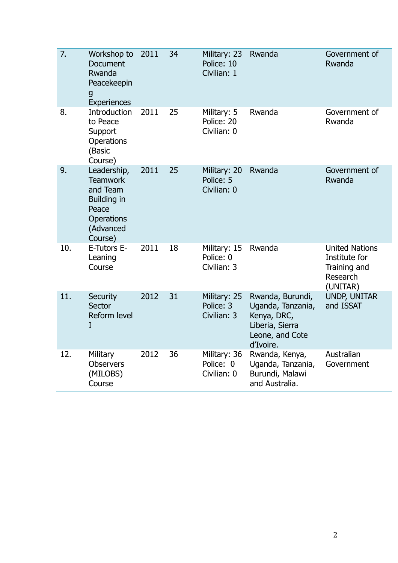| $\overline{7}$ . | Workshop to<br>Document<br>Rwanda<br>Peacekeepin<br>g<br>Experiences                                            | 2011 | 34 | Military: 23<br>Police: 10<br>Civilian: 1 | Rwanda                                                                                                  | Government of<br>Rwanda                                                        |
|------------------|-----------------------------------------------------------------------------------------------------------------|------|----|-------------------------------------------|---------------------------------------------------------------------------------------------------------|--------------------------------------------------------------------------------|
| 8.               | Introduction<br>to Peace<br>Support<br>Operations<br>(Basic<br>Course)                                          | 2011 | 25 | Military: 5<br>Police: 20<br>Civilian: 0  | Rwanda                                                                                                  | Government of<br>Rwanda                                                        |
| 9.               | Leadership,<br><b>Teamwork</b><br>and Team<br>Building in<br>Peace<br><b>Operations</b><br>(Advanced<br>Course) | 2011 | 25 | Military: 20<br>Police: 5<br>Civilian: 0  | Rwanda                                                                                                  | Government of<br>Rwanda                                                        |
| 10.              | E-Tutors E-<br>Leaning<br>Course                                                                                | 2011 | 18 | Military: 15<br>Police: 0<br>Civilian: 3  | Rwanda                                                                                                  | <b>United Nations</b><br>Institute for<br>Training and<br>Research<br>(UNITAR) |
| 11.              | <b>Security</b><br>Sector<br>Reform level<br>I                                                                  | 2012 | 31 | Military: 25<br>Police: 3<br>Civilian: 3  | Rwanda, Burundi,<br>Uganda, Tanzania,<br>Kenya, DRC,<br>Liberia, Sierra<br>Leone, and Cote<br>d'Ivoire. | <b>UNDP, UNITAR</b><br>and ISSAT                                               |
| 12.              | Military<br><b>Observers</b><br>(MILOBS)<br>Course                                                              | 2012 | 36 | Military: 36<br>Police: 0<br>Civilian: 0  | Rwanda, Kenya,<br>Uganda, Tanzania,<br>Burundi, Malawi<br>and Australia.                                | Australian<br>Government                                                       |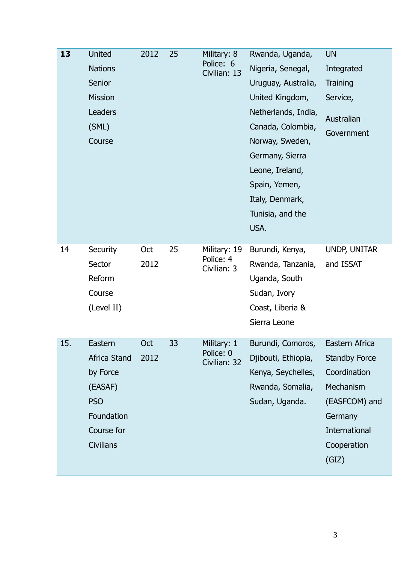| 13  | United<br><b>Nations</b><br>Senior<br><b>Mission</b><br>Leaders<br>(SML)<br>Course                                  | 2012        | 25 | Military: 8<br>Police: 6<br>Civilian: 13 | Rwanda, Uganda,<br>Nigeria, Senegal,<br>Uruguay, Australia,<br>United Kingdom,<br>Netherlands, India,<br>Canada, Colombia,<br>Norway, Sweden,<br>Germany, Sierra<br>Leone, Ireland,<br>Spain, Yemen,<br>Italy, Denmark,<br>Tunisia, and the<br>USA. | <b>UN</b><br>Integrated<br>Training<br>Service,<br>Australian<br>Government                                                              |
|-----|---------------------------------------------------------------------------------------------------------------------|-------------|----|------------------------------------------|-----------------------------------------------------------------------------------------------------------------------------------------------------------------------------------------------------------------------------------------------------|------------------------------------------------------------------------------------------------------------------------------------------|
| 14  | Security<br>Sector<br>Reform<br>Course<br>(Level II)                                                                | Oct<br>2012 | 25 | Military: 19<br>Police: 4<br>Civilian: 3 | Burundi, Kenya,<br>Rwanda, Tanzania,<br>Uganda, South<br>Sudan, Ivory<br>Coast, Liberia &<br>Sierra Leone                                                                                                                                           | UNDP, UNITAR<br>and ISSAT                                                                                                                |
| 15. | Eastern<br><b>Africa Stand</b><br>by Force<br>(EASAF)<br><b>PSO</b><br>Foundation<br>Course for<br><b>Civilians</b> | Oct<br>2012 | 33 | Military: 1<br>Police: 0<br>Civilian: 32 | Burundi, Comoros,<br>Djibouti, Ethiopia,<br>Kenya, Seychelles,<br>Rwanda, Somalia,<br>Sudan, Uganda.                                                                                                                                                | Eastern Africa<br><b>Standby Force</b><br>Coordination<br>Mechanism<br>(EASFCOM) and<br>Germany<br>International<br>Cooperation<br>(GIZ) |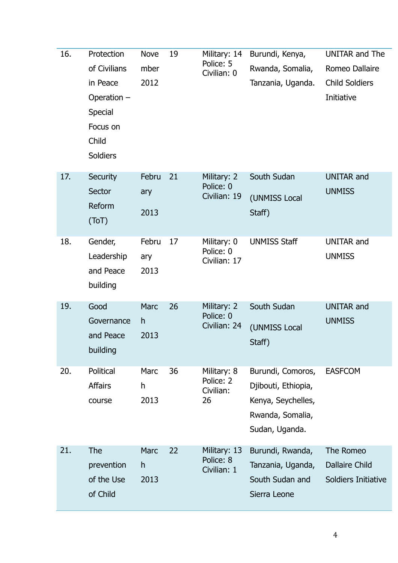| 16. | Protection<br>of Civilians<br>in Peace<br>Operation -<br><b>Special</b><br>Focus on<br>Child<br>Soldiers | <b>Nove</b><br>mber<br>2012 | 19 | Military: 14<br>Police: 5<br>Civilian: 0    | Burundi, Kenya,<br>Rwanda, Somalia,<br>Tanzania, Uganda.                                             | <b>UNITAR and The</b><br>Romeo Dallaire<br><b>Child Soldiers</b><br>Initiative |
|-----|----------------------------------------------------------------------------------------------------------|-----------------------------|----|---------------------------------------------|------------------------------------------------------------------------------------------------------|--------------------------------------------------------------------------------|
| 17. | <b>Security</b><br>Sector<br>Reform<br>(ToT)                                                             | Febru<br>ary<br>2013        | 21 | Military: 2<br>Police: 0<br>Civilian: 19    | South Sudan<br>(UNMISS Local<br>Staff)                                                               | <b>UNITAR and</b><br><b>UNMISS</b>                                             |
| 18. | Gender,<br>Leadership<br>and Peace<br>building                                                           | Febru<br>ary<br>2013        | 17 | Military: 0<br>Police: 0<br>Civilian: 17    | <b>UNMISS Staff</b>                                                                                  | <b>UNITAR and</b><br><b>UNMISS</b>                                             |
| 19. | Good<br>Governance<br>and Peace<br>building                                                              | <b>Marc</b><br>h<br>2013    | 26 | Military: 2<br>Police: 0<br>Civilian: 24    | South Sudan<br>(UNMISS Local<br>Staff)                                                               | <b>UNITAR and</b><br><b>UNMISS</b>                                             |
| 20. | Political<br><b>Affairs</b><br>course                                                                    | Marc<br>h<br>2013           | 36 | Military: 8<br>Police: 2<br>Civilian:<br>26 | Burundi, Comoros,<br>Djibouti, Ethiopia,<br>Kenya, Seychelles,<br>Rwanda, Somalia,<br>Sudan, Uganda. | <b>EASFCOM</b>                                                                 |
| 21. | The<br>prevention<br>of the Use<br>of Child                                                              | <b>Marc</b><br>h<br>2013    | 22 | Military: 13<br>Police: 8<br>Civilian: 1    | Burundi, Rwanda,<br>Tanzania, Uganda,<br>South Sudan and<br>Sierra Leone                             | The Romeo<br><b>Dallaire Child</b><br>Soldiers Initiative                      |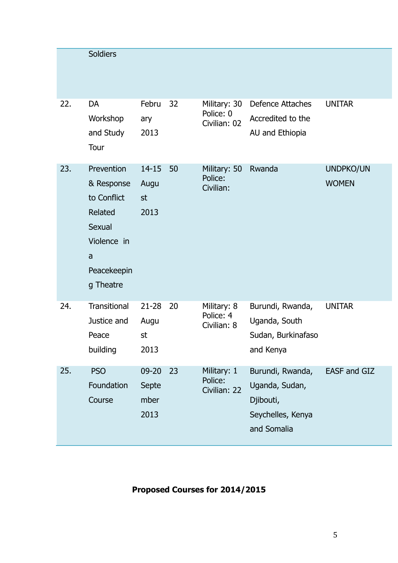|     | <b>Soldiers</b>                                                                                              |                                    |    |                                           |                                                                                     |                           |
|-----|--------------------------------------------------------------------------------------------------------------|------------------------------------|----|-------------------------------------------|-------------------------------------------------------------------------------------|---------------------------|
| 22. | <b>DA</b><br>Workshop<br>and Study<br>Tour                                                                   | Febru<br>ary<br>2013               | 32 | Military: 30<br>Police: 0<br>Civilian: 02 | <b>Defence Attaches</b><br>Accredited to the<br>AU and Ethiopia                     | <b>UNITAR</b>             |
| 23. | Prevention<br>& Response<br>to Conflict<br>Related<br>Sexual<br>Violence in<br>a<br>Peacekeepin<br>g Theatre | $14 - 15$<br>Augu<br>st<br>2013    | 50 | Military: 50<br>Police:<br>Civilian:      | Rwanda                                                                              | UNDPKO/UN<br><b>WOMEN</b> |
| 24. | Transitional<br>Justice and<br>Peace<br>building                                                             | $21 - 28$<br>Augu<br>st<br>2013    | 20 | Military: 8<br>Police: 4<br>Civilian: 8   | Burundi, Rwanda,<br>Uganda, South<br>Sudan, Burkinafaso<br>and Kenya                | <b>UNITAR</b>             |
| 25. | <b>PSO</b><br>Foundation<br>Course                                                                           | $09 - 20$<br>Septe<br>mber<br>2013 | 23 | Military: 1<br>Police:<br>Civilian: 22    | Burundi, Rwanda,<br>Uganda, Sudan,<br>Djibouti,<br>Seychelles, Kenya<br>and Somalia | EASF and GIZ              |

## **Proposed Courses for 2014/2015**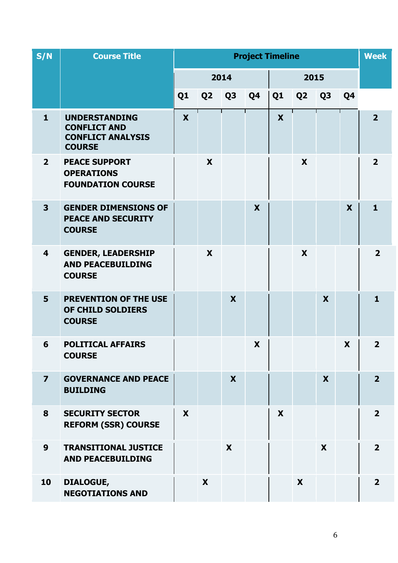| S/N                     | <b>Course Title</b>                                                                      | <b>Project Timeline</b> |                |                |    |                |                |                |                | <b>Week</b>             |
|-------------------------|------------------------------------------------------------------------------------------|-------------------------|----------------|----------------|----|----------------|----------------|----------------|----------------|-------------------------|
|                         |                                                                                          | 2014                    |                |                |    | 2015           |                |                |                |                         |
|                         |                                                                                          | Q <sub>1</sub>          | Q <sub>2</sub> | Q <sub>3</sub> | Q4 | Q <sub>1</sub> | Q <sub>2</sub> | Q <sub>3</sub> | Q <sub>4</sub> |                         |
| $\mathbf{1}$            | <b>UNDERSTANDING</b><br><b>CONFLICT AND</b><br><b>CONFLICT ANALYSIS</b><br><b>COURSE</b> | X                       |                |                |    | X              |                |                |                | 2 <sup>1</sup>          |
| $2^{\circ}$             | <b>PEACE SUPPORT</b><br><b>OPERATIONS</b><br><b>FOUNDATION COURSE</b>                    |                         | X              |                |    |                | X              |                |                | $\overline{2}$          |
| $\overline{\mathbf{3}}$ | <b>GENDER DIMENSIONS OF</b><br><b>PEACE AND SECURITY</b><br><b>COURSE</b>                |                         |                |                | X  |                |                |                | X              | $\mathbf{1}$            |
| 4                       | <b>GENDER, LEADERSHIP</b><br><b>AND PEACEBUILDING</b><br><b>COURSE</b>                   |                         | X              |                |    |                | X              |                |                | $\overline{\mathbf{2}}$ |
| 5                       | <b>PREVENTION OF THE USE</b><br>OF CHILD SOLDIERS<br><b>COURSE</b>                       |                         |                | X              |    |                |                | X              |                | $\mathbf{1}$            |
| 6                       | <b>POLITICAL AFFAIRS</b><br><b>COURSE</b>                                                |                         |                |                | X  |                |                |                | X              | $\overline{2}$          |
| $\overline{\mathbf{z}}$ | <b>GOVERNANCE AND PEACE</b><br><b>BUILDING</b>                                           |                         |                | X              |    |                |                | X              |                | $\overline{2}$          |
| 8                       | <b>SECURITY SECTOR</b><br><b>REFORM (SSR) COURSE</b>                                     | X                       |                |                |    | X              |                |                |                | $\overline{\mathbf{2}}$ |
| 9                       | <b>TRANSITIONAL JUSTICE</b><br><b>AND PEACEBUILDING</b>                                  |                         |                | X              |    |                |                | X              |                | $\overline{2}$          |
| 10                      | DIALOGUE,<br><b>NEGOTIATIONS AND</b>                                                     |                         | X              |                |    |                | X              |                |                | $\overline{2}$          |